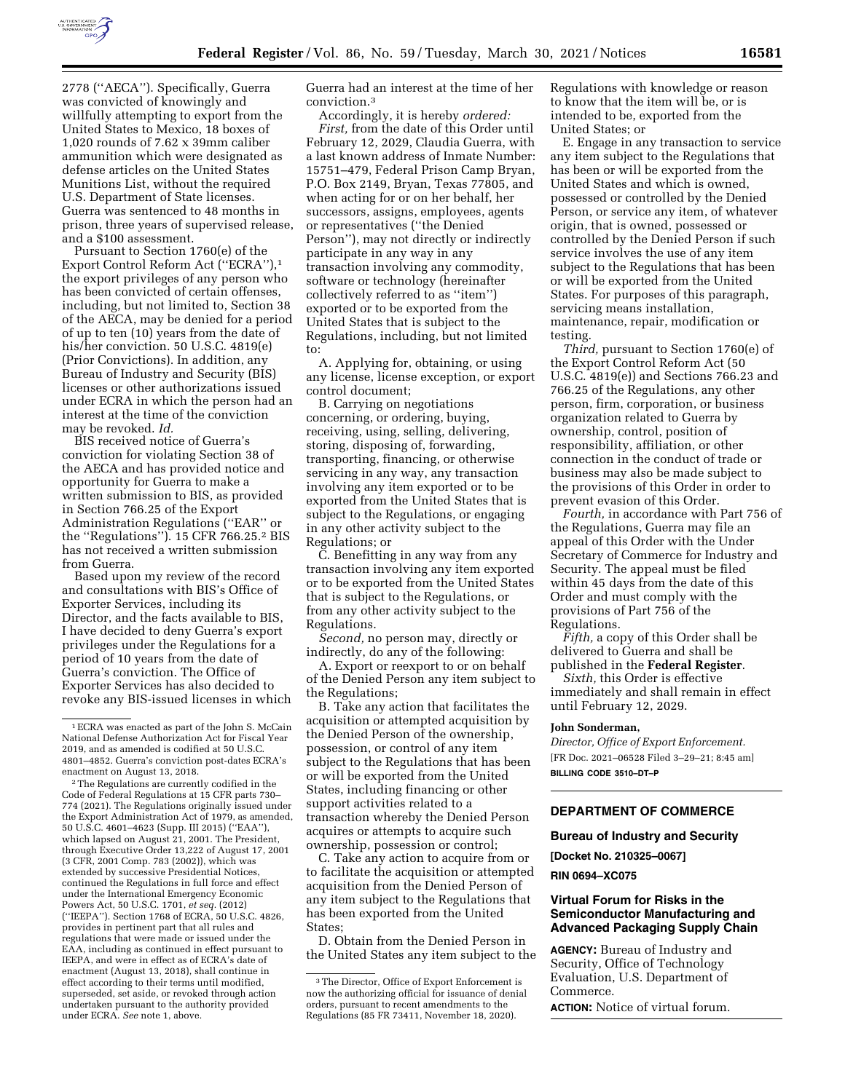

2778 (''AECA''). Specifically, Guerra was convicted of knowingly and willfully attempting to export from the United States to Mexico, 18 boxes of 1,020 rounds of 7.62 x 39mm caliber ammunition which were designated as defense articles on the United States Munitions List, without the required U.S. Department of State licenses. Guerra was sentenced to 48 months in prison, three years of supervised release, and a \$100 assessment.

Pursuant to Section 1760(e) of the Export Control Reform Act (''ECRA''),1 the export privileges of any person who has been convicted of certain offenses, including, but not limited to, Section 38 of the AECA, may be denied for a period of up to ten (10) years from the date of his/her conviction. 50 U.S.C. 4819(e) (Prior Convictions). In addition, any Bureau of Industry and Security (BIS) licenses or other authorizations issued under ECRA in which the person had an interest at the time of the conviction may be revoked. *Id.* 

BIS received notice of Guerra's conviction for violating Section 38 of the AECA and has provided notice and opportunity for Guerra to make a written submission to BIS, as provided in Section 766.25 of the Export Administration Regulations (''EAR'' or the ''Regulations''). 15 CFR 766.25.2 BIS has not received a written submission from Guerra.

Based upon my review of the record and consultations with BIS's Office of Exporter Services, including its Director, and the facts available to BIS, I have decided to deny Guerra's export privileges under the Regulations for a period of 10 years from the date of Guerra's conviction. The Office of Exporter Services has also decided to revoke any BIS-issued licenses in which Guerra had an interest at the time of her conviction.3

Accordingly, it is hereby *ordered: First,* from the date of this Order until February 12, 2029, Claudia Guerra, with a last known address of Inmate Number: 15751–479, Federal Prison Camp Bryan, P.O. Box 2149, Bryan, Texas 77805, and when acting for or on her behalf, her successors, assigns, employees, agents or representatives (''the Denied Person''), may not directly or indirectly participate in any way in any transaction involving any commodity, software or technology (hereinafter collectively referred to as ''item'') exported or to be exported from the United States that is subject to the Regulations, including, but not limited to:

A. Applying for, obtaining, or using any license, license exception, or export control document;

B. Carrying on negotiations concerning, or ordering, buying, receiving, using, selling, delivering, storing, disposing of, forwarding, transporting, financing, or otherwise servicing in any way, any transaction involving any item exported or to be exported from the United States that is subject to the Regulations, or engaging in any other activity subject to the Regulations; or

C. Benefitting in any way from any transaction involving any item exported or to be exported from the United States that is subject to the Regulations, or from any other activity subject to the Regulations.

*Second,* no person may, directly or indirectly, do any of the following:

A. Export or reexport to or on behalf of the Denied Person any item subject to the Regulations;

B. Take any action that facilitates the acquisition or attempted acquisition by the Denied Person of the ownership, possession, or control of any item subject to the Regulations that has been or will be exported from the United States, including financing or other support activities related to a transaction whereby the Denied Person acquires or attempts to acquire such ownership, possession or control;

C. Take any action to acquire from or to facilitate the acquisition or attempted acquisition from the Denied Person of any item subject to the Regulations that has been exported from the United States;

D. Obtain from the Denied Person in the United States any item subject to the Regulations with knowledge or reason to know that the item will be, or is intended to be, exported from the United States; or

E. Engage in any transaction to service any item subject to the Regulations that has been or will be exported from the United States and which is owned, possessed or controlled by the Denied Person, or service any item, of whatever origin, that is owned, possessed or controlled by the Denied Person if such service involves the use of any item subject to the Regulations that has been or will be exported from the United States. For purposes of this paragraph, servicing means installation, maintenance, repair, modification or testing.

*Third,* pursuant to Section 1760(e) of the Export Control Reform Act (50 U.S.C. 4819(e)) and Sections 766.23 and 766.25 of the Regulations, any other person, firm, corporation, or business organization related to Guerra by ownership, control, position of responsibility, affiliation, or other connection in the conduct of trade or business may also be made subject to the provisions of this Order in order to prevent evasion of this Order.

*Fourth,* in accordance with Part 756 of the Regulations, Guerra may file an appeal of this Order with the Under Secretary of Commerce for Industry and Security. The appeal must be filed within 45 days from the date of this Order and must comply with the provisions of Part 756 of the Regulations.

*Fifth,* a copy of this Order shall be delivered to Guerra and shall be published in the **Federal Register**.

*Sixth,* this Order is effective immediately and shall remain in effect until February 12, 2029.

#### **John Sonderman,**

*Director, Office of Export Enforcement.*  [FR Doc. 2021–06528 Filed 3–29–21; 8:45 am] **BILLING CODE 3510–DT–P** 

# **DEPARTMENT OF COMMERCE**

## **Bureau of Industry and Security**

**[Docket No. 210325–0067]** 

**RIN 0694–XC075** 

# **Virtual Forum for Risks in the Semiconductor Manufacturing and Advanced Packaging Supply Chain**

**AGENCY:** Bureau of Industry and Security, Office of Technology Evaluation, U.S. Department of Commerce.

**ACTION:** Notice of virtual forum.

<sup>1</sup>ECRA was enacted as part of the John S. McCain National Defense Authorization Act for Fiscal Year 2019, and as amended is codified at 50 U.S.C. 4801–4852. Guerra's conviction post-dates ECRA's enactment on August 13, 2018.

<sup>2</sup>The Regulations are currently codified in the Code of Federal Regulations at 15 CFR parts 730– 774 (2021). The Regulations originally issued under the Export Administration Act of 1979, as amended, 50 U.S.C. 4601–4623 (Supp. III 2015) (''EAA''), which lapsed on August 21, 2001. The President, through Executive Order 13,222 of August 17, 2001 (3 CFR, 2001 Comp. 783 (2002)), which was extended by successive Presidential Notices, continued the Regulations in full force and effect under the International Emergency Economic Powers Act, 50 U.S.C. 1701, *et seq.* (2012) (''IEEPA''). Section 1768 of ECRA, 50 U.S.C. 4826, provides in pertinent part that all rules and regulations that were made or issued under the EAA, including as continued in effect pursuant to IEEPA, and were in effect as of ECRA's date of enactment (August 13, 2018), shall continue in effect according to their terms until modified, superseded, set aside, or revoked through action undertaken pursuant to the authority provided under ECRA. *See* note 1, above*.* 

<sup>3</sup>The Director, Office of Export Enforcement is now the authorizing official for issuance of denial orders, pursuant to recent amendments to the Regulations (85 FR 73411, November 18, 2020).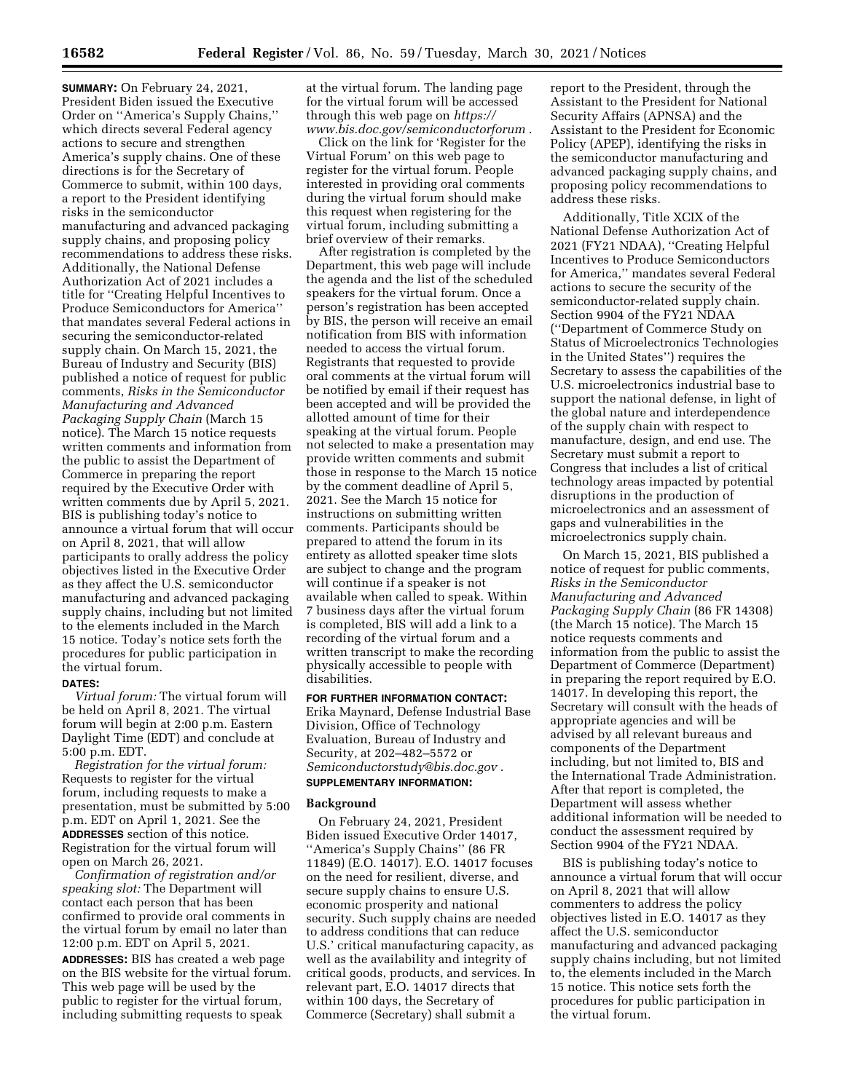**SUMMARY:** On February 24, 2021, President Biden issued the Executive Order on ''America's Supply Chains,'' which directs several Federal agency actions to secure and strengthen America's supply chains. One of these directions is for the Secretary of Commerce to submit, within 100 days, a report to the President identifying risks in the semiconductor manufacturing and advanced packaging supply chains, and proposing policy recommendations to address these risks. Additionally, the National Defense Authorization Act of 2021 includes a title for ''Creating Helpful Incentives to Produce Semiconductors for America'' that mandates several Federal actions in securing the semiconductor-related supply chain. On March 15, 2021, the Bureau of Industry and Security (BIS) published a notice of request for public comments, *Risks in the Semiconductor Manufacturing and Advanced Packaging Supply Chain* (March 15 notice). The March 15 notice requests written comments and information from the public to assist the Department of Commerce in preparing the report required by the Executive Order with written comments due by April 5, 2021. BIS is publishing today's notice to announce a virtual forum that will occur on April 8, 2021, that will allow participants to orally address the policy objectives listed in the Executive Order as they affect the U.S. semiconductor manufacturing and advanced packaging supply chains, including but not limited to the elements included in the March 15 notice. Today's notice sets forth the procedures for public participation in the virtual forum.

#### **DATES:**

*Virtual forum:* The virtual forum will be held on April 8, 2021. The virtual forum will begin at 2:00 p.m. Eastern Daylight Time (EDT) and conclude at 5:00 p.m. EDT.

*Registration for the virtual forum:*  Requests to register for the virtual forum, including requests to make a presentation, must be submitted by 5:00 p.m. EDT on April 1, 2021. See the **ADDRESSES** section of this notice. Registration for the virtual forum will open on March 26, 2021.

*Confirmation of registration and/or speaking slot:* The Department will contact each person that has been confirmed to provide oral comments in the virtual forum by email no later than 12:00 p.m. EDT on April 5, 2021. **ADDRESSES:** BIS has created a web page on the BIS website for the virtual forum. This web page will be used by the public to register for the virtual forum, including submitting requests to speak

at the virtual forum. The landing page for the virtual forum will be accessed through this web page on *[https://](https://www.bis.doc.gov/semiconductorforum) [www.bis.doc.gov/semiconductorforum](https://www.bis.doc.gov/semiconductorforum)* .

Click on the link for 'Register for the Virtual Forum' on this web page to register for the virtual forum. People interested in providing oral comments during the virtual forum should make this request when registering for the virtual forum, including submitting a brief overview of their remarks.

After registration is completed by the Department, this web page will include the agenda and the list of the scheduled speakers for the virtual forum. Once a person's registration has been accepted by BIS, the person will receive an email notification from BIS with information needed to access the virtual forum. Registrants that requested to provide oral comments at the virtual forum will be notified by email if their request has been accepted and will be provided the allotted amount of time for their speaking at the virtual forum. People not selected to make a presentation may provide written comments and submit those in response to the March 15 notice by the comment deadline of April 5, 2021. See the March 15 notice for instructions on submitting written comments. Participants should be prepared to attend the forum in its entirety as allotted speaker time slots are subject to change and the program will continue if a speaker is not available when called to speak. Within 7 business days after the virtual forum is completed, BIS will add a link to a recording of the virtual forum and a written transcript to make the recording physically accessible to people with disabilities.

**FOR FURTHER INFORMATION CONTACT:**  Erika Maynard, Defense Industrial Base Division, Office of Technology Evaluation, Bureau of Industry and Security, at 202–482–5572 or *[Semiconductorstudy@bis.doc.gov](mailto:Semiconductorstudy@bis.doc.gov)* . **SUPPLEMENTARY INFORMATION:** 

# **Background**

On February 24, 2021, President Biden issued Executive Order 14017, ''America's Supply Chains'' (86 FR 11849) (E.O. 14017). E.O. 14017 focuses on the need for resilient, diverse, and secure supply chains to ensure U.S. economic prosperity and national security. Such supply chains are needed to address conditions that can reduce U.S.' critical manufacturing capacity, as well as the availability and integrity of critical goods, products, and services. In relevant part, E.O. 14017 directs that within 100 days, the Secretary of Commerce (Secretary) shall submit a

report to the President, through the Assistant to the President for National Security Affairs (APNSA) and the Assistant to the President for Economic Policy (APEP), identifying the risks in the semiconductor manufacturing and advanced packaging supply chains, and proposing policy recommendations to address these risks.

Additionally, Title XCIX of the National Defense Authorization Act of 2021 (FY21 NDAA), ''Creating Helpful Incentives to Produce Semiconductors for America,'' mandates several Federal actions to secure the security of the semiconductor-related supply chain. Section 9904 of the FY21 NDAA (''Department of Commerce Study on Status of Microelectronics Technologies in the United States'') requires the Secretary to assess the capabilities of the U.S. microelectronics industrial base to support the national defense, in light of the global nature and interdependence of the supply chain with respect to manufacture, design, and end use. The Secretary must submit a report to Congress that includes a list of critical technology areas impacted by potential disruptions in the production of microelectronics and an assessment of gaps and vulnerabilities in the microelectronics supply chain.

On March 15, 2021, BIS published a notice of request for public comments, *Risks in the Semiconductor Manufacturing and Advanced Packaging Supply Chain* (86 FR 14308) (the March 15 notice). The March 15 notice requests comments and information from the public to assist the Department of Commerce (Department) in preparing the report required by E.O. 14017. In developing this report, the Secretary will consult with the heads of appropriate agencies and will be advised by all relevant bureaus and components of the Department including, but not limited to, BIS and the International Trade Administration. After that report is completed, the Department will assess whether additional information will be needed to conduct the assessment required by Section 9904 of the FY21 NDAA.

BIS is publishing today's notice to announce a virtual forum that will occur on April 8, 2021 that will allow commenters to address the policy objectives listed in E.O. 14017 as they affect the U.S. semiconductor manufacturing and advanced packaging supply chains including, but not limited to, the elements included in the March 15 notice. This notice sets forth the procedures for public participation in the virtual forum.